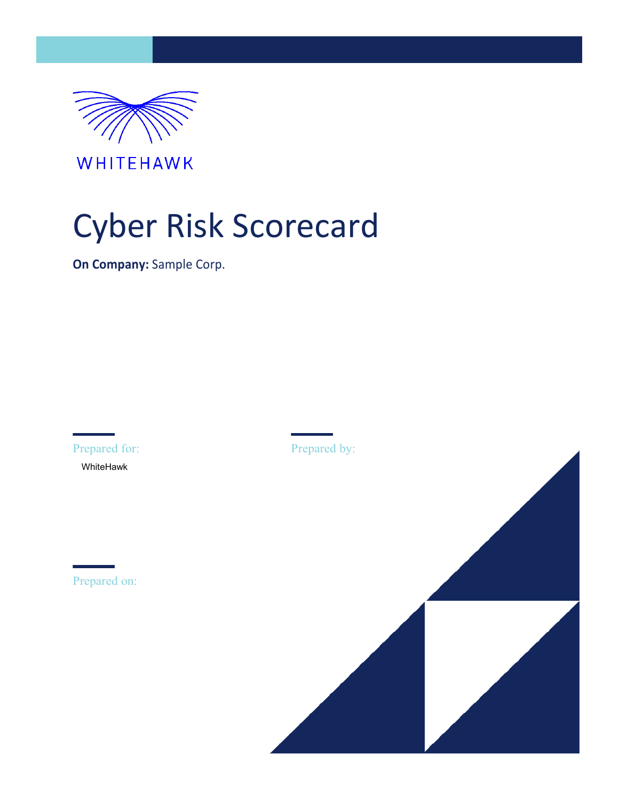

WHITEHAWK

### Cyber Risk Scorecard

**On Company:** Sample Corp.

Prepared for: WhiteHawk

Prepared on:

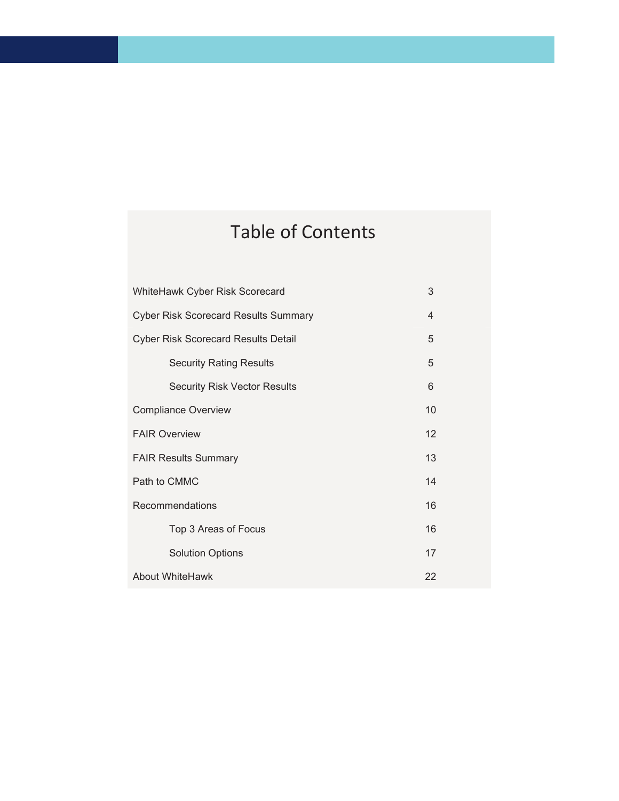### Table of Contents

| WhiteHawk Cyber Risk Scorecard<br>3         |                 |  |  |  |
|---------------------------------------------|-----------------|--|--|--|
| <b>Cyber Risk Scorecard Results Summary</b> |                 |  |  |  |
| <b>Cyber Risk Scorecard Results Detail</b>  |                 |  |  |  |
| <b>Security Rating Results</b>              | 5               |  |  |  |
| <b>Security Risk Vector Results</b>         | 6               |  |  |  |
| <b>Compliance Overview</b>                  | 10 <sup>1</sup> |  |  |  |
| <b>FAIR Overview</b>                        | 12              |  |  |  |
| 13<br><b>FAIR Results Summary</b>           |                 |  |  |  |
| Path to CMMC                                | 14              |  |  |  |
| Recommendations                             |                 |  |  |  |
| Top 3 Areas of Focus                        | 16              |  |  |  |
| <b>Solution Options</b>                     | 17              |  |  |  |
| About WhiteHawk                             |                 |  |  |  |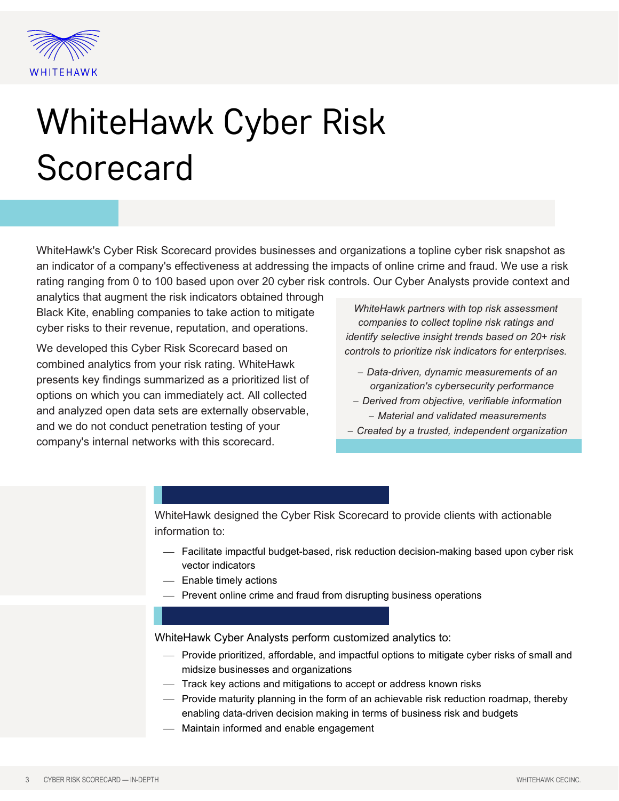

# WhiteHawk Cyber Risk **Scorecard**

WhiteHawk's Cyber Risk Scorecard provides businesses and organizations a topline cyber risk snapshot as an indicator of a company's effectiveness at addressing the impacts of online crime and fraud. We use a risk rating ranging from 0 to 100 based upon over 20 cyber risk controls. Our Cyber Analysts provide context and

analytics that augment the risk indicators obtained through Black Kite, enabling companies to take action to mitigate cyber risks to their revenue, reputation, and operations.

We developed this Cyber Risk Scorecard based on combined analytics from your risk rating. WhiteHawk presents key findings summarized as a prioritized list of options on which you can immediately act. All collected and analyzed open data sets are externally observable, and we do not conduct penetration testing of your company's internal networks with this scorecard.

*WhiteHawk partners with top risk assessment companies to collect topline risk ratings and identify selective insight trends based on 20+ risk controls to prioritize risk indicators for enterprises.*

- − *Data-driven, dynamic measurements of an organization's cybersecurity performance*
- − *Derived from objective, verifiable information* − *Material and validated measurements*
- − *Created by a trusted, independent organization*

WhiteHawk designed the Cyber Risk Scorecard to provide clients with actionable information to:

- Facilitate impactful budget-based, risk reduction decision-making based upon cyber risk vector indicators
- Enable timely actions
- Prevent online crime and fraud from disrupting business operations

WhiteHawk Cyber Analysts perform customized analytics to:

- Provide prioritized, affordable, and impactful options to mitigate cyber risks of small and midsize businesses and organizations
- Track key actions and mitigations to accept or address known risks
- Provide maturity planning in the form of an achievable risk reduction roadmap, thereby enabling data-driven decision making in terms of business risk and budgets
- Maintain informed and enable engagement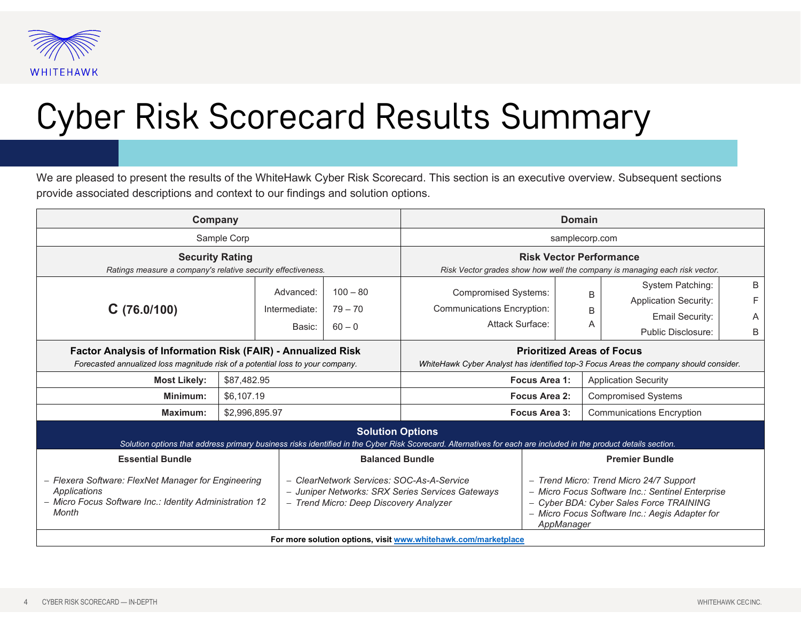

### Cyber Risk Scorecard Results Summary

We are pleased to present the results of the WhiteHawk Cyber Risk Scorecard. This section is an executive overview. Subsequent sections provide associated descriptions and context to our findings and solution options.

| Company                                                                                                                                                                                    |                | <b>Domain</b>                                                                                                                                                     |                                     |                                                                                     |                                                                                                                                                                                                                                 |                                  |                                                                                                         |                  |
|--------------------------------------------------------------------------------------------------------------------------------------------------------------------------------------------|----------------|-------------------------------------------------------------------------------------------------------------------------------------------------------------------|-------------------------------------|-------------------------------------------------------------------------------------|---------------------------------------------------------------------------------------------------------------------------------------------------------------------------------------------------------------------------------|----------------------------------|---------------------------------------------------------------------------------------------------------|------------------|
| Sample Corp                                                                                                                                                                                |                | samplecorp.com                                                                                                                                                    |                                     |                                                                                     |                                                                                                                                                                                                                                 |                                  |                                                                                                         |                  |
| <b>Security Rating</b><br>Ratings measure a company's relative security effectiveness.                                                                                                     |                | <b>Risk Vector Performance</b><br>Risk Vector grades show how well the company is managing each risk vector.                                                      |                                     |                                                                                     |                                                                                                                                                                                                                                 |                                  |                                                                                                         |                  |
| C(76.0/100)                                                                                                                                                                                |                | Advanced:<br>Intermediate:<br>Basic:                                                                                                                              | $100 - 80$<br>$79 - 70$<br>$60 - 0$ | <b>Compromised Systems:</b><br><b>Communications Encryption:</b><br>Attack Surface: |                                                                                                                                                                                                                                 | B<br>B                           | System Patching:<br><b>Application Security:</b><br><b>Email Security:</b><br><b>Public Disclosure:</b> | B<br>F<br>A<br>B |
| <b>Factor Analysis of Information Risk (FAIR) - Annualized Risk</b><br>Forecasted annualized loss magnitude risk of a potential loss to your company.                                      |                | <b>Prioritized Areas of Focus</b><br>WhiteHawk Cyber Analyst has identified top-3 Focus Areas the company should consider.                                        |                                     |                                                                                     |                                                                                                                                                                                                                                 |                                  |                                                                                                         |                  |
| <b>Most Likely:</b>                                                                                                                                                                        | \$87,482.95    |                                                                                                                                                                   | Focus Area 1:                       |                                                                                     |                                                                                                                                                                                                                                 | <b>Application Security</b>      |                                                                                                         |                  |
| Minimum:                                                                                                                                                                                   | \$6,107.19     |                                                                                                                                                                   | Focus Area 2:                       |                                                                                     |                                                                                                                                                                                                                                 | <b>Compromised Systems</b>       |                                                                                                         |                  |
| <b>Maximum:</b>                                                                                                                                                                            | \$2,996,895.97 |                                                                                                                                                                   | Focus Area 3:                       |                                                                                     |                                                                                                                                                                                                                                 | <b>Communications Encryption</b> |                                                                                                         |                  |
| <b>Solution Options</b><br>Solution options that address primary business risks identified in the Cyber Risk Scorecard. Alternatives for each are included in the product details section. |                |                                                                                                                                                                   |                                     |                                                                                     |                                                                                                                                                                                                                                 |                                  |                                                                                                         |                  |
| <b>Essential Bundle</b><br>- Flexera Software: FlexNet Manager for Engineering<br>Applications<br>- Micro Focus Software Inc.: Identity Administration 12<br>Month                         |                | <b>Balanced Bundle</b><br>- ClearNetwork Services: SOC-As-A-Service<br>- Juniper Networks: SRX Series Services Gateways<br>- Trend Micro: Deep Discovery Analyzer |                                     |                                                                                     | <b>Premier Bundle</b><br>- Trend Micro: Trend Micro 24/7 Support<br>- Micro Focus Software Inc.: Sentinel Enterprise<br>- Cyber BDA: Cyber Sales Force TRAINING<br>- Micro Focus Software Inc.: Aegis Adapter for<br>AppManager |                                  |                                                                                                         |                  |
| For more solution options, visit www.whitehawk.com/marketplace                                                                                                                             |                |                                                                                                                                                                   |                                     |                                                                                     |                                                                                                                                                                                                                                 |                                  |                                                                                                         |                  |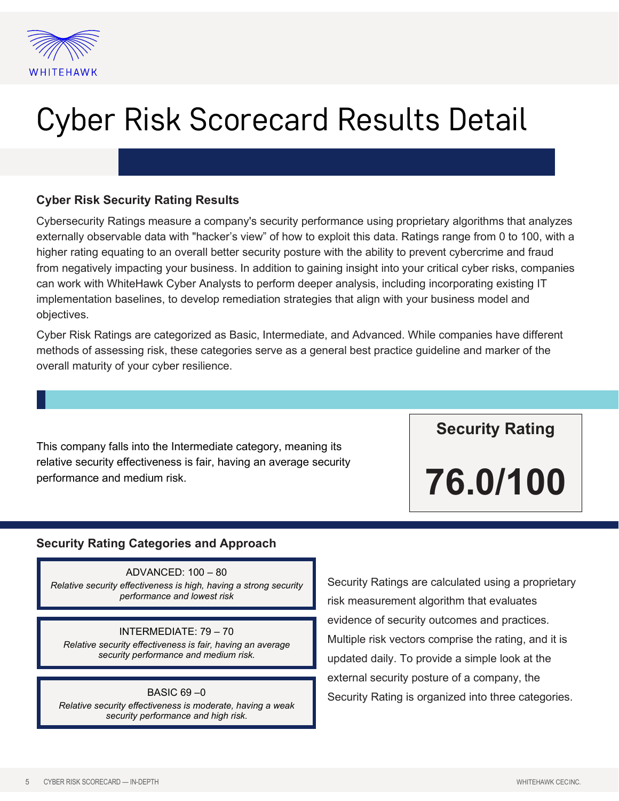

### Cyber Risk Scorecard Results Detail

#### **Cyber Risk Security Rating Results**

Cybersecurity Ratings measure a company's security performance using proprietary algorithms that analyzes externally observable data with "hacker's view" of how to exploit this data. Ratings range from 0 to 100, with a higher rating equating to an overall better security posture with the ability to prevent cybercrime and fraud from negatively impacting your business. In addition to gaining insight into your critical cyber risks, companies can work with WhiteHawk Cyber Analysts to perform deeper analysis, including incorporating existing IT implementation baselines, to develop remediation strategies that align with your business model and objectives.

Cyber Risk Ratings are categorized as Basic, Intermediate, and Advanced. While companies have different methods of assessing risk, these categories serve as a general best practice guideline and marker of the overall maturity of your cyber resilience.

This company falls into the Intermediate category, meaning its relative security effectiveness is fair, having an average security performance and medium risk.

**Security Rating**

**76.0/100**

#### **Security Rating Categories and Approach**

ADVANCED: 100 – 80 *Relative security effectiveness is high, having a strong security performance and lowest risk*

#### INTERMEDIATE: 79 – 70

*Relative security effectiveness is fair, having an average security performance and medium risk.*

#### $BASIC 69 - 0$

*Relative security effectiveness is moderate, having a weak security performance and high risk.*

Security Ratings are calculated using a proprietary risk measurement algorithm that evaluates evidence of security outcomes and practices. Multiple risk vectors comprise the rating, and it is updated daily. To provide a simple look at the external security posture of a company, the Security Rating is organized into three categories.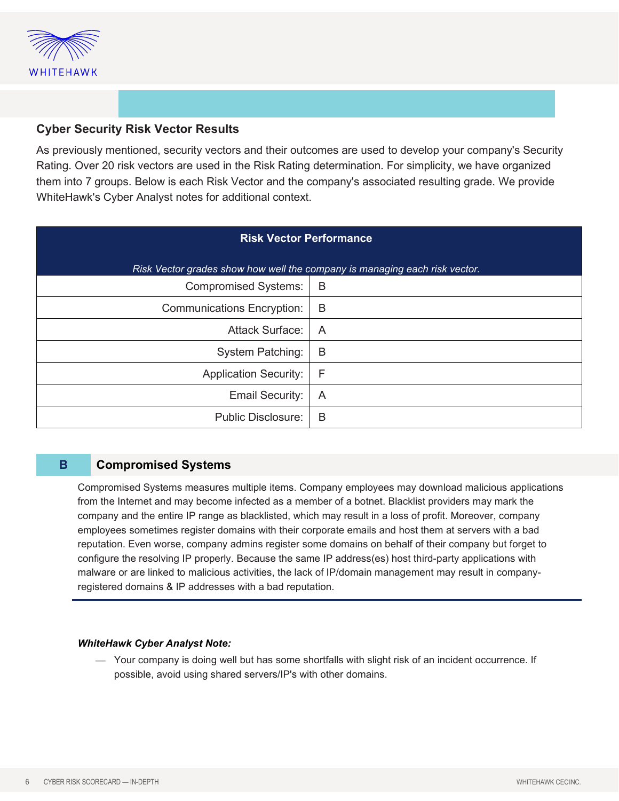

#### **Cyber Security Risk Vector Results**

As previously mentioned, security vectors and their outcomes are used to develop your company's Security Rating. Over 20 risk vectors are used in the Risk Rating determination. For simplicity, we have organized them into 7 groups. Below is each Risk Vector and the company's associated resulting grade. We provide WhiteHawk's Cyber Analyst notes for additional context.

| <b>Risk Vector Performance</b>                                             |   |  |  |  |
|----------------------------------------------------------------------------|---|--|--|--|
| Risk Vector grades show how well the company is managing each risk vector. |   |  |  |  |
| <b>Compromised Systems:</b>                                                | B |  |  |  |
| <b>Communications Encryption:</b>                                          | B |  |  |  |
| <b>Attack Surface:</b>                                                     | A |  |  |  |
| <b>System Patching:</b>                                                    | B |  |  |  |
| <b>Application Security:</b>                                               | F |  |  |  |
| <b>Email Security:</b>                                                     | A |  |  |  |
| <b>Public Disclosure:</b>                                                  | B |  |  |  |

#### **B Compromised Systems**

Compromised Systems measures multiple items. Company employees may download malicious applications from the Internet and may become infected as a member of a botnet. Blacklist providers may mark the company and the entire IP range as blacklisted, which may result in a loss of profit. Moreover, company employees sometimes register domains with their corporate emails and host them at servers with a bad reputation. Even worse, company admins register some domains on behalf of their company but forget to configure the resolving IP properly. Because the same IP address(es) host third-party applications with malware or are linked to malicious activities, the lack of IP/domain management may result in companyregistered domains & IP addresses with a bad reputation.

#### *WhiteHawk Cyber Analyst Note:*

 Your company is doing well but has some shortfalls with slight risk of an incident occurrence. If possible, avoid using shared servers/IP's with other domains.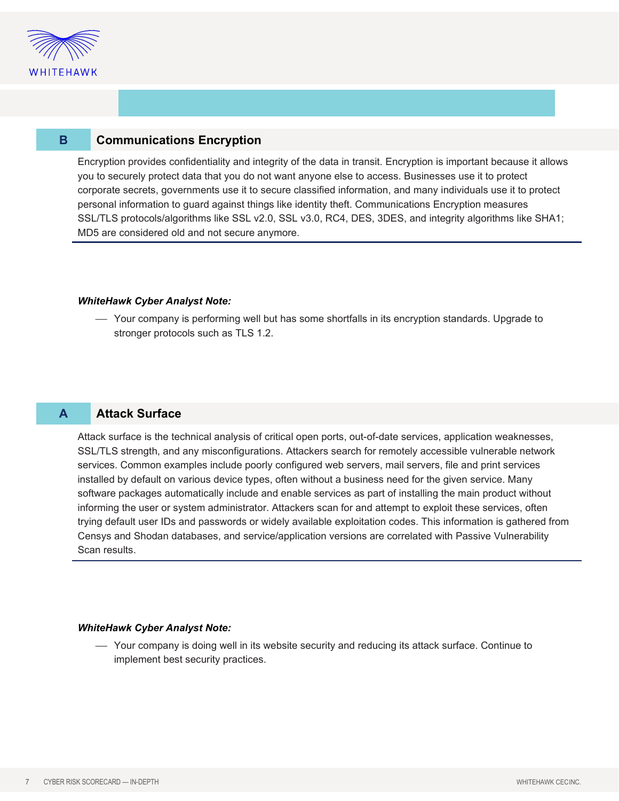

#### **B Communications Encryption**

Encryption provides confidentiality and integrity of the data in transit. Encryption is important because it allows you to securely protect data that you do not want anyone else to access. Businesses use it to protect corporate secrets, governments use it to secure classified information, and many individuals use it to protect personal information to guard against things like identity theft. Communications Encryption measures SSL/TLS protocols/algorithms like SSL v2.0, SSL v3.0, RC4, DES, 3DES, and integrity algorithms like SHA1; MD5 are considered old and not secure anymore.

#### *WhiteHawk Cyber Analyst Note:*

 Your company is performing well but has some shortfalls in its encryption standards. Upgrade to stronger protocols such as TLS 1.2.

#### **A Attack Surface**

Attack surface is the technical analysis of critical open ports, out-of-date services, application weaknesses, SSL/TLS strength, and any misconfigurations. Attackers search for remotely accessible vulnerable network services. Common examples include poorly configured web servers, mail servers, file and print services installed by default on various device types, often without a business need for the given service. Many software packages automatically include and enable services as part of installing the main product without informing the user or system administrator. Attackers scan for and attempt to exploit these services, often trying default user IDs and passwords or widely available exploitation codes. This information is gathered from Censys and Shodan databases, and service/application versions are correlated with Passive Vulnerability Scan results.

#### *WhiteHawk Cyber Analyst Note:*

 Your company is doing well in its website security and reducing its attack surface. Continue to implement best security practices.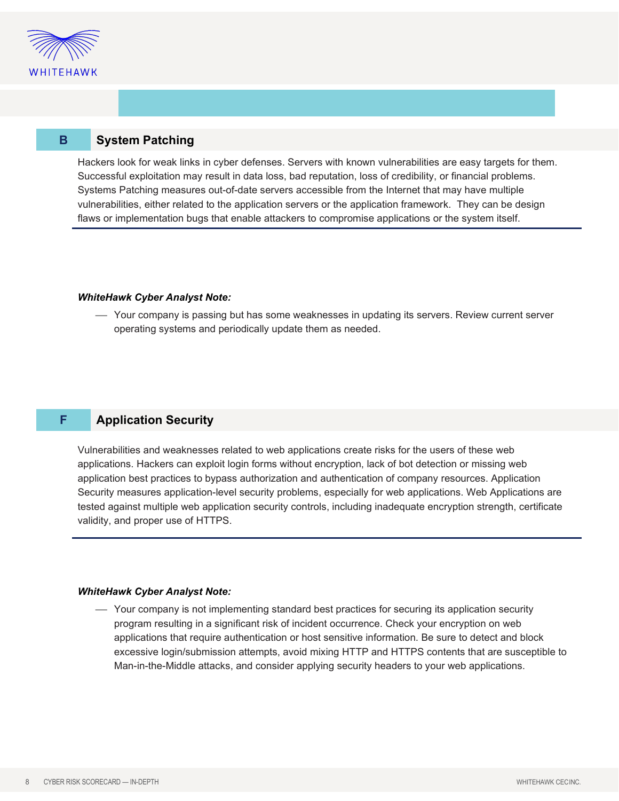

#### **B System Patching**

Hackers look for weak links in cyber defenses. Servers with known vulnerabilities are easy targets for them. Successful exploitation may result in data loss, bad reputation, loss of credibility, or financial problems. Systems Patching measures out-of-date servers accessible from the Internet that may have multiple vulnerabilities, either related to the application servers or the application framework. They can be design flaws or implementation bugs that enable attackers to compromise applications or the system itself.

#### *WhiteHawk Cyber Analyst Note:*

 Your company is passing but has some weaknesses in updating its servers. Review current server operating systems and periodically update them as needed.

#### **F Application Security**

Vulnerabilities and weaknesses related to web applications create risks for the users of these web applications. Hackers can exploit login forms without encryption, lack of bot detection or missing web application best practices to bypass authorization and authentication of company resources. Application Security measures application-level security problems, especially for web applications. Web Applications are tested against multiple web application security controls, including inadequate encryption strength, certificate validity, and proper use of HTTPS.

#### *WhiteHawk Cyber Analyst Note:*

 Your company is not implementing standard best practices for securing its application security program resulting in a significant risk of incident occurrence. Check your encryption on web applications that require authentication or host sensitive information. Be sure to detect and block excessive login/submission attempts, avoid mixing HTTP and HTTPS contents that are susceptible to Man-in-the-Middle attacks, and consider applying security headers to your web applications.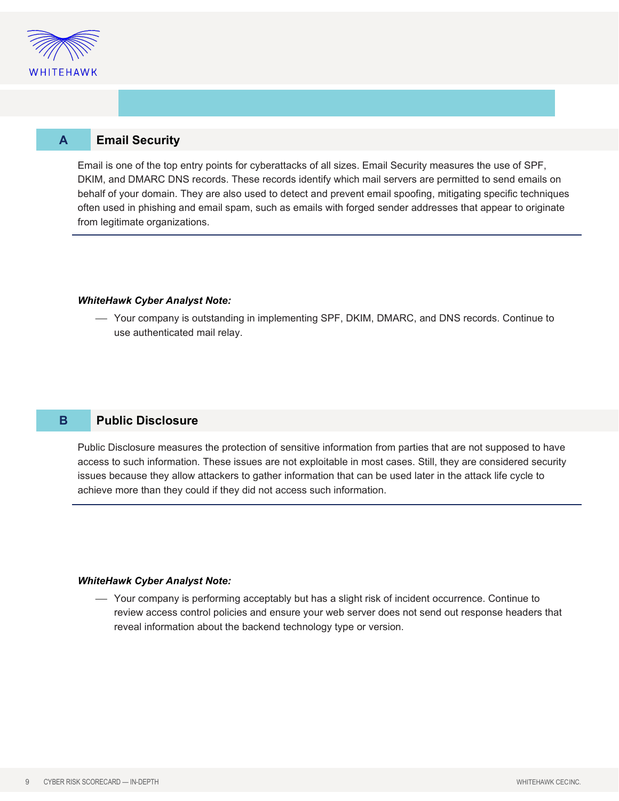

#### **A Email Security**

Email is one of the top entry points for cyberattacks of all sizes. Email Security measures the use of SPF, DKIM, and DMARC DNS records. These records identify which mail servers are permitted to send emails on behalf of your domain. They are also used to detect and prevent email spoofing, mitigating specific techniques often used in phishing and email spam, such as emails with forged sender addresses that appear to originate from legitimate organizations.

#### *WhiteHawk Cyber Analyst Note:*

 Your company is outstanding in implementing SPF, DKIM, DMARC, and DNS records. Continue to use authenticated mail relay.

#### **B Public Disclosure**

Public Disclosure measures the protection of sensitive information from parties that are not supposed to have access to such information. These issues are not exploitable in most cases. Still, they are considered security issues because they allow attackers to gather information that can be used later in the attack life cycle to achieve more than they could if they did not access such information.

#### *WhiteHawk Cyber Analyst Note:*

 Your company is performing acceptably but has a slight risk of incident occurrence. Continue to review access control policies and ensure your web server does not send out response headers that reveal information about the backend technology type or version.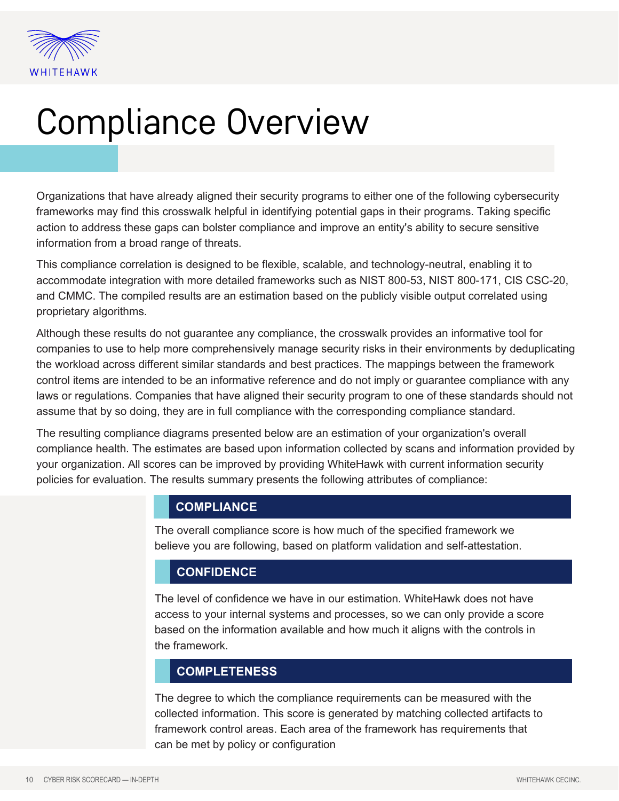

# Compliance Overview

Organizations that have already aligned their security programs to either one of the following cybersecurity frameworks may find this crosswalk helpful in identifying potential gaps in their programs. Taking specific action to address these gaps can bolster compliance and improve an entity's ability to secure sensitive information from a broad range of threats.

This compliance correlation is designed to be flexible, scalable, and technology-neutral, enabling it to accommodate integration with more detailed frameworks such as NIST 800-53, NIST 800-171, CIS CSC-20, and CMMC. The compiled results are an estimation based on the publicly visible output correlated using proprietary algorithms.

Although these results do not guarantee any compliance, the crosswalk provides an informative tool for companies to use to help more comprehensively manage security risks in their environments by deduplicating the workload across different similar standards and best practices. The mappings between the framework control items are intended to be an informative reference and do not imply or guarantee compliance with any laws or regulations. Companies that have aligned their security program to one of these standards should not assume that by so doing, they are in full compliance with the corresponding compliance standard.

The resulting compliance diagrams presented below are an estimation of your organization's overall compliance health. The estimates are based upon information collected by scans and information provided by your organization. All scores can be improved by providing WhiteHawk with current information security policies for evaluation. The results summary presents the following attributes of compliance:

#### **COMPLIANCE**

The overall compliance score is how much of the specified framework we believe you are following, based on platform validation and self-attestation.

#### **CONFIDENCE**

The level of confidence we have in our estimation. WhiteHawk does not have access to your internal systems and processes, so we can only provide a score based on the information available and how much it aligns with the controls in the framework.

#### **COMPLETENESS**

The degree to which the compliance requirements can be measured with the collected information. This score is generated by matching collected artifacts to framework control areas. Each area of the framework has requirements that can be met by policy or configuration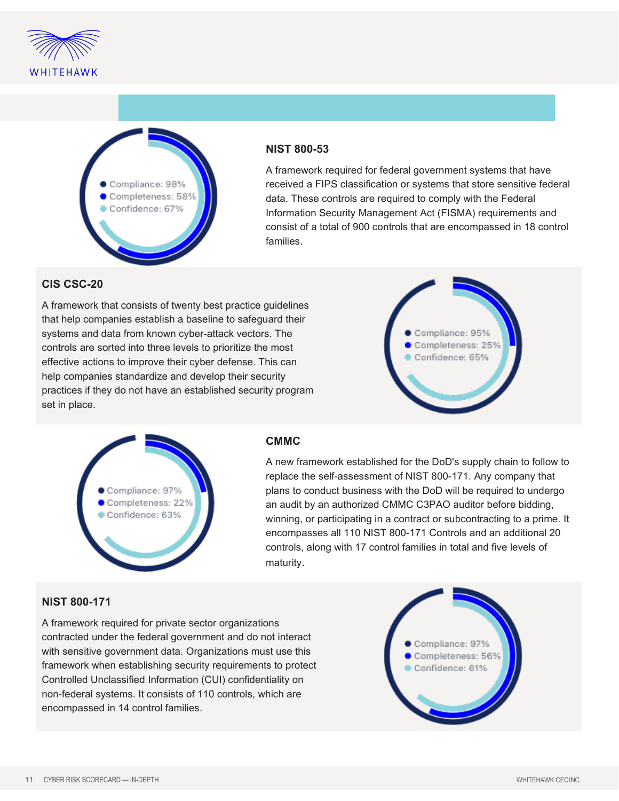



#### **NIST 800-53**

A framework required for federal government systems that have received a FIPS classification or systems that store sensitive federal data. These controls are required to comply with the Federal Information Security Management Act (FISMA) requirements and consist of a total of 900 controls that are encompassed in 18 control families.

#### **CIS CSC-20**

A framework that consists of twenty best practice guidelines that help companies establish a baseline to safeguard their systems and data from known cyber-attack vectors. The controls are sorted into three levels to prioritize the most effective actions to improve their cyber defense. This can help companies standardize and develop their security practices if they do not have an established security program set in place.





#### **CMMC**

A new framework established for the DoD's supply chain to follow to replace the self-assessment of NIST 800-171. Any company that plans to conduct business with the DoD will be required to undergo an audit by an authorized CMMC C3PAO auditor before bidding, winning, or participating in a contract or subcontracting to a prime. It encompasses all 110 NIST 800-171 Controls and an additional 20 controls, along with 17 control families in total and five levels of maturity.

#### **NIST 800-171**

A framework required for private sector organizations contracted under the federal government and do not interact with sensitive government data. Organizations must use this framework when establishing security requirements to protect Controlled Unclassified Information (CUI) confidentiality on non-federal systems. It consists of 110 controls, which are encompassed in 14 control families.

Compliance: 97% Completeness: 56% Confidence: 61%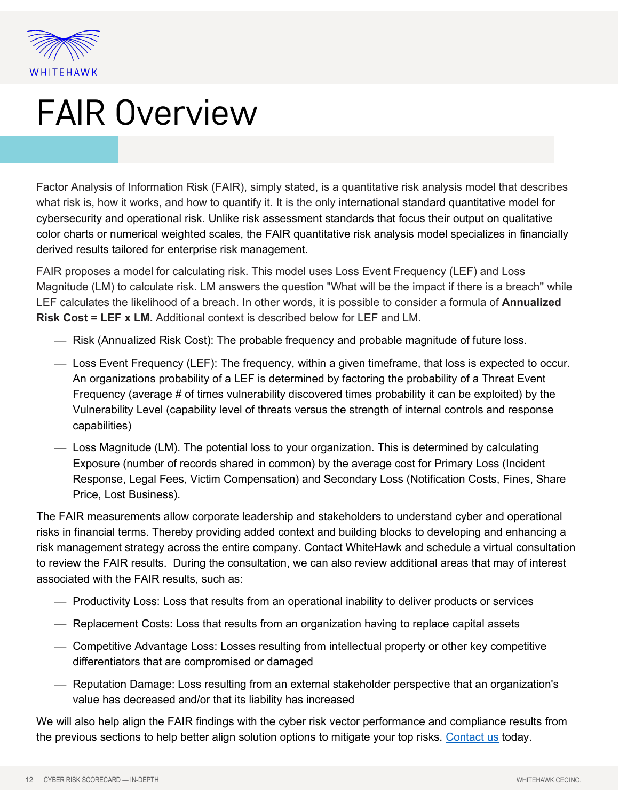

### FAIR Overview

Factor Analysis of Information Risk (FAIR), simply stated, is a quantitative risk analysis model that describes what risk is, how it works, and how to quantify it. It is the only international standard quantitative model for cybersecurity and operational risk. Unlike risk assessment standards that focus their output on qualitative color charts or numerical weighted scales, the FAIR quantitative risk analysis model specializes in financially derived results tailored for enterprise risk management.

FAIR proposes a model for calculating risk. This model uses Loss Event Frequency (LEF) and Loss Magnitude (LM) to calculate risk. LM answers the question "What will be the impact if there is a breach'' while LEF calculates the likelihood of a breach. In other words, it is possible to consider a formula of **Annualized Risk Cost = LEF x LM.** Additional context is described below for LEF and LM.

- Risk (Annualized Risk Cost): The probable frequency and probable magnitude of future loss.
- Loss Event Frequency (LEF): The frequency, within a given timeframe, that loss is expected to occur. An organizations probability of a LEF is determined by factoring the probability of a Threat Event Frequency (average # of times vulnerability discovered times probability it can be exploited) by the Vulnerability Level (capability level of threats versus the strength of internal controls and response capabilities)
- Loss Magnitude (LM). The potential loss to your organization. This is determined by calculating Exposure (number of records shared in common) by the average cost for Primary Loss (Incident Response, Legal Fees, Victim Compensation) and Secondary Loss (Notification Costs, Fines, Share Price, Lost Business).

The FAIR measurements allow corporate leadership and stakeholders to understand cyber and operational risks in financial terms. Thereby providing added context and building blocks to developing and enhancing a risk management strategy across the entire company. Contact WhiteHawk and schedule a virtual consultation to review the FAIR results. During the consultation, we can also review additional areas that may of interest associated with the FAIR results, such as:

- Productivity Loss: Loss that results from an operational inability to deliver products or services
- Replacement Costs: Loss that results from an organization having to replace capital assets
- Competitive Advantage Loss: Losses resulting from intellectual property or other key competitive differentiators that are compromised or damaged
- Reputation Damage: Loss resulting from an external stakeholder perspective that an organization's value has decreased and/or that its liability has increased

We will also help align the FAIR findings with the cyber risk vector performance and compliance results from the previous sections to help better align solution options to mitigate your top risks. [Contact us](https://www.whitehawk.com/contact-us) today.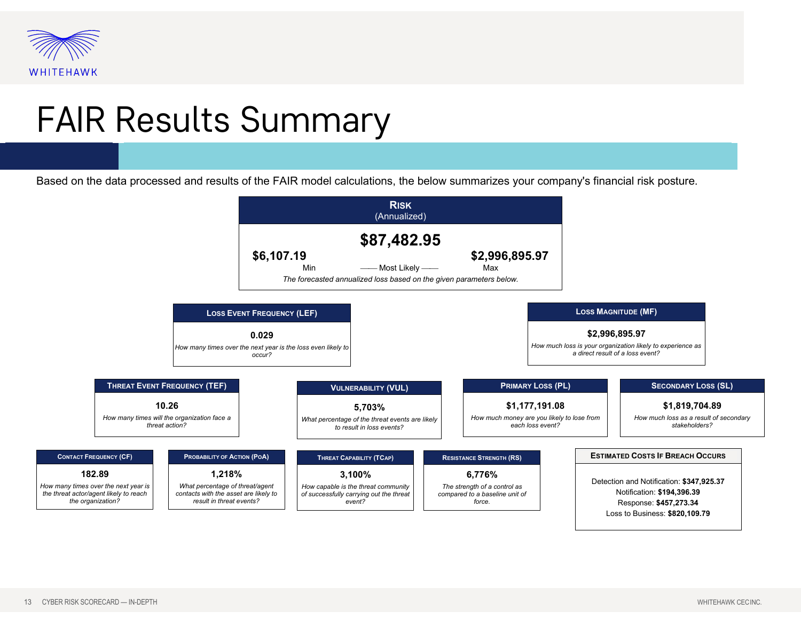

### FAIR Results Summary

Based on the data processed and results of the FAIR model calculations, the below summarizes your company's financial risk posture.

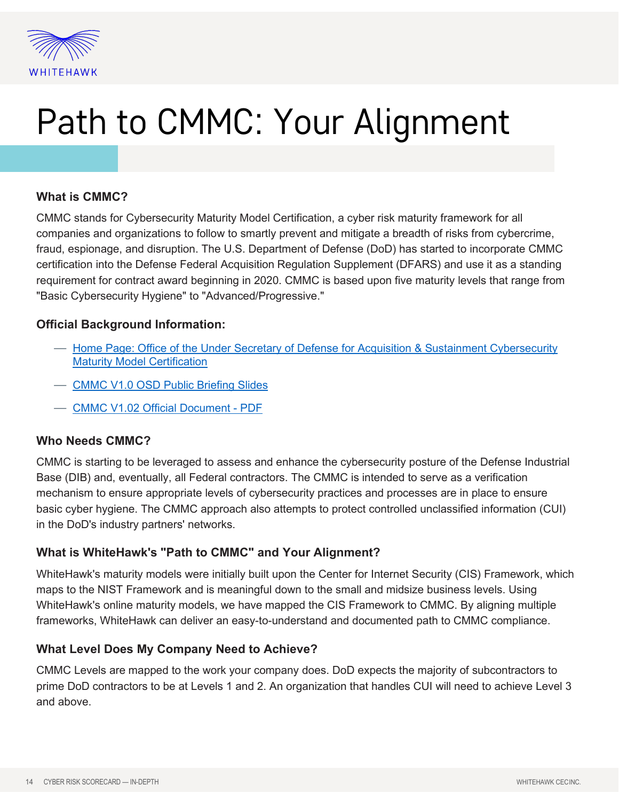

# Path to CMMC: Your Alignment

#### **What is CMMC?**

CMMC stands for Cybersecurity Maturity Model Certification, a cyber risk maturity framework for all companies and organizations to follow to smartly prevent and mitigate a breadth of risks from cybercrime, fraud, espionage, and disruption. The U.S. Department of Defense (DoD) has started to incorporate CMMC certification into the Defense Federal Acquisition Regulation Supplement (DFARS) and use it as a standing requirement for contract award beginning in 2020. CMMC is based upon five maturity levels that range from "Basic Cybersecurity Hygiene" to "Advanced/Progressive."

#### **Official Background Information:**

- [Home Page: Office of the Under Secretary of Defense for Acquisition & Sustainment Cybersecurity](https://www.acq.osd.mil/cmmc/draft.html)  [Maturity Model Certification](https://www.acq.osd.mil/cmmc/draft.html)
- [CMMC V1.0 OSD Public Briefing Slides](https://www.acq.osd.mil/cmmc/docs/CMMC_v1.0_Public_Briefing_20200131_v2.pdf)
- [CMMC V1.02 Official Document PDF](https://www.acq.osd.mil/cmmc/docs/CMMC_ModelMain_V1.02_20200318.pdf)

#### **Who Needs CMMC?**

CMMC is starting to be leveraged to assess and enhance the cybersecurity posture of the Defense Industrial Base (DIB) and, eventually, all Federal contractors. The CMMC is intended to serve as a verification mechanism to ensure appropriate levels of cybersecurity practices and processes are in place to ensure basic cyber hygiene. The CMMC approach also attempts to protect controlled unclassified information (CUI) in the DoD's industry partners' networks.

#### **What is WhiteHawk's "Path to CMMC" and Your Alignment?**

WhiteHawk's maturity models were initially built upon the Center for Internet Security (CIS) Framework, which maps to the NIST Framework and is meaningful down to the small and midsize business levels. Using WhiteHawk's online maturity models, we have mapped the CIS Framework to CMMC. By aligning multiple frameworks, WhiteHawk can deliver an easy-to-understand and documented path to CMMC compliance.

#### **What Level Does My Company Need to Achieve?**

CMMC Levels are mapped to the work your company does. DoD expects the majority of subcontractors to prime DoD contractors to be at Levels 1 and 2. An organization that handles CUI will need to achieve Level 3 and above.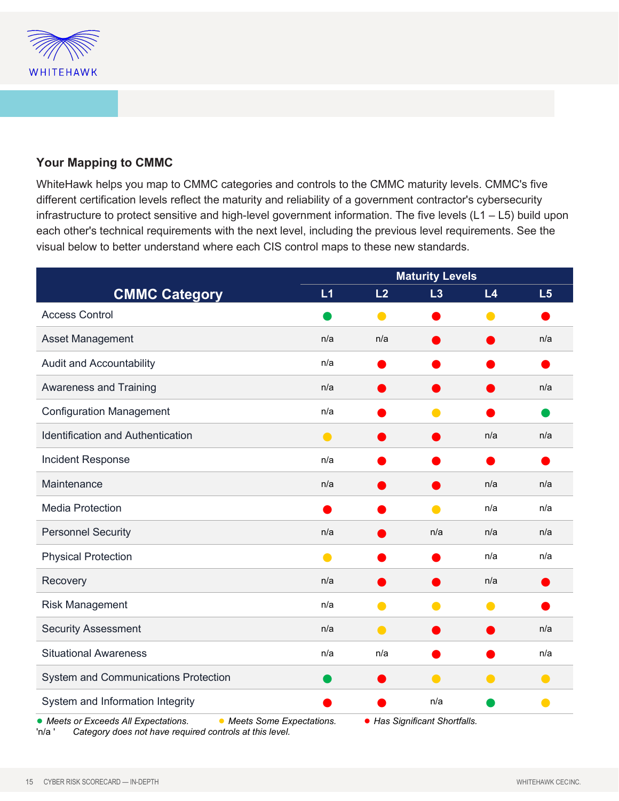

#### **Your Mapping to CMMC**

WhiteHawk helps you map to CMMC categories and controls to the CMMC maturity levels. CMMC's five different certification levels reflect the maturity and reliability of a government contractor's cybersecurity infrastructure to protect sensitive and high-level government information. The five levels (L1 – L5) build upon each other's technical requirements with the next level, including the previous level requirements. See the visual below to better understand where each CIS control maps to these new standards.

|                                             |                            | <b>Maturity Levels</b> |                               |                |     |
|---------------------------------------------|----------------------------|------------------------|-------------------------------|----------------|-----|
| <b>CMMC Category</b>                        | L1                         | L <sub>2</sub>         | L3                            | L <sub>4</sub> | L5  |
| <b>Access Control</b>                       |                            |                        |                               |                |     |
| Asset Management                            | n/a                        | n/a                    |                               |                | n/a |
| <b>Audit and Accountability</b>             | n/a                        |                        |                               |                |     |
| <b>Awareness and Training</b>               | n/a                        |                        |                               |                | n/a |
| <b>Configuration Management</b>             | n/a                        |                        |                               |                |     |
| Identification and Authentication           | $\bullet$                  |                        |                               | n/a            | n/a |
| Incident Response                           | n/a                        |                        |                               |                |     |
| Maintenance                                 | n/a                        |                        |                               | n/a            | n/a |
| <b>Media Protection</b>                     |                            |                        |                               | n/a            | n/a |
| <b>Personnel Security</b>                   | n/a                        |                        | n/a                           | n/a            | n/a |
| <b>Physical Protection</b>                  | $\bullet$                  |                        |                               | n/a            | n/a |
| Recovery                                    | n/a                        |                        |                               | n/a            |     |
| <b>Risk Management</b>                      | n/a                        | O                      | O                             | O              |     |
| <b>Security Assessment</b>                  | n/a                        | $\bullet$              |                               |                | n/a |
| <b>Situational Awareness</b>                | n/a                        | n/a                    |                               |                | n/a |
| <b>System and Communications Protection</b> |                            |                        | O                             |                | C   |
| System and Information Integrity            |                            |                        | n/a                           |                |     |
| • Meets or Exceeds All Expectations.        | • Meets Some Expectations. |                        | • Has Significant Shortfalls. |                |     |

'n/a ' *Category does not have required controls at this level.*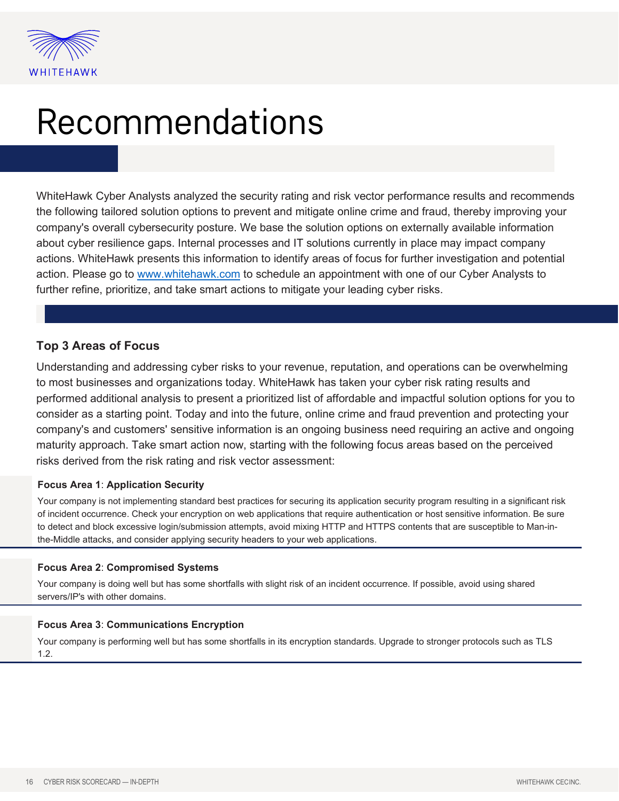

### Recommendations

WhiteHawk Cyber Analysts analyzed the security rating and risk vector performance results and recommends the following tailored solution options to prevent and mitigate online crime and fraud, thereby improving your company's overall cybersecurity posture. We base the solution options on externally available information about cyber resilience gaps. Internal processes and IT solutions currently in place may impact company actions. WhiteHawk presents this information to identify areas of focus for further investigation and potential action. Please go to [www.whitehawk.com](http://www.whitehawk.com/) to schedule an appointment with one of our Cyber Analysts to further refine, prioritize, and take smart actions to mitigate your leading cyber risks.

#### **Top 3 Areas of Focus**

Understanding and addressing cyber risks to your revenue, reputation, and operations can be overwhelming to most businesses and organizations today. WhiteHawk has taken your cyber risk rating results and performed additional analysis to present a prioritized list of affordable and impactful solution options for you to consider as a starting point. Today and into the future, online crime and fraud prevention and protecting your company's and customers' sensitive information is an ongoing business need requiring an active and ongoing maturity approach. Take smart action now, starting with the following focus areas based on the perceived risks derived from the risk rating and risk vector assessment:

#### **Focus Area 1**: **Application Security**

Your company is not implementing standard best practices for securing its application security program resulting in a significant risk of incident occurrence. Check your encryption on web applications that require authentication or host sensitive information. Be sure to detect and block excessive login/submission attempts, avoid mixing HTTP and HTTPS contents that are susceptible to Man-inthe-Middle attacks, and consider applying security headers to your web applications.

#### **Focus Area 2**: **Compromised Systems**

Your company is doing well but has some shortfalls with slight risk of an incident occurrence. If possible, avoid using shared servers/IP's with other domains.

#### **Focus Area 3**: **Communications Encryption**

Your company is performing well but has some shortfalls in its encryption standards. Upgrade to stronger protocols such as TLS 1.2.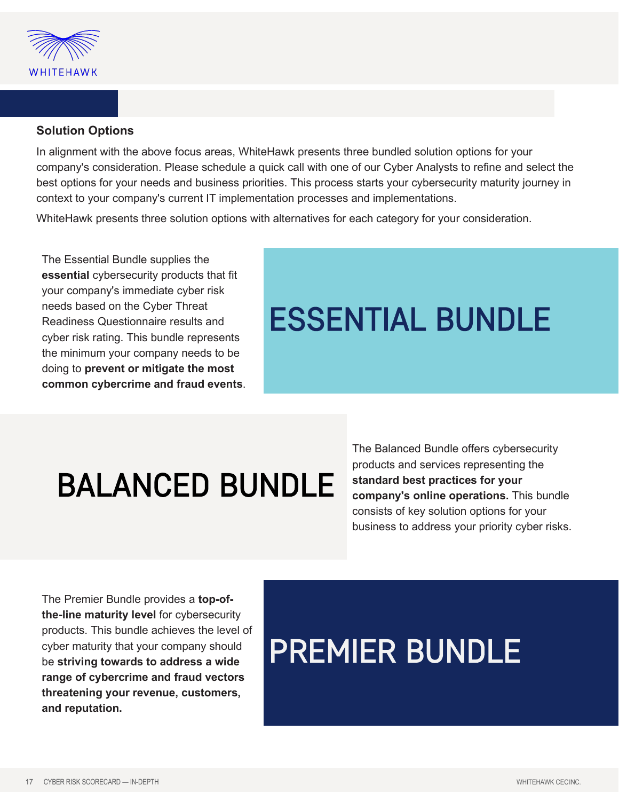

#### **Solution Options**

In alignment with the above focus areas, WhiteHawk presents three bundled solution options for your company's consideration. Please schedule a quick call with one of our Cyber Analysts to refine and select the best options for your needs and business priorities. This process starts your cybersecurity maturity journey in context to your company's current IT implementation processes and implementations.

WhiteHawk presents three solution options with alternatives for each category for your consideration.

The Essential Bundle supplies the **essential** cybersecurity products that fit your company's immediate cyber risk needs based on the Cyber Threat Readiness Questionnaire results and cyber risk rating. This bundle represents the minimum your company needs to be doing to **prevent or mitigate the most common cybercrime and fraud events**.

### ESSENTIAL BUNDLE

# BALANCED BUNDLE

The Balanced Bundle offers cybersecurity products and services representing the **standard best practices for your company's online operations.** This bundle consists of key solution options for your business to address your priority cyber risks.

The Premier Bundle provides a **top-ofthe-line maturity level** for cybersecurity products. This bundle achieves the level of cyber maturity that your company should be **striving towards to address a wide range of cybercrime and fraud vectors threatening your revenue, customers, and reputation.**

### PREMIER BUNDLE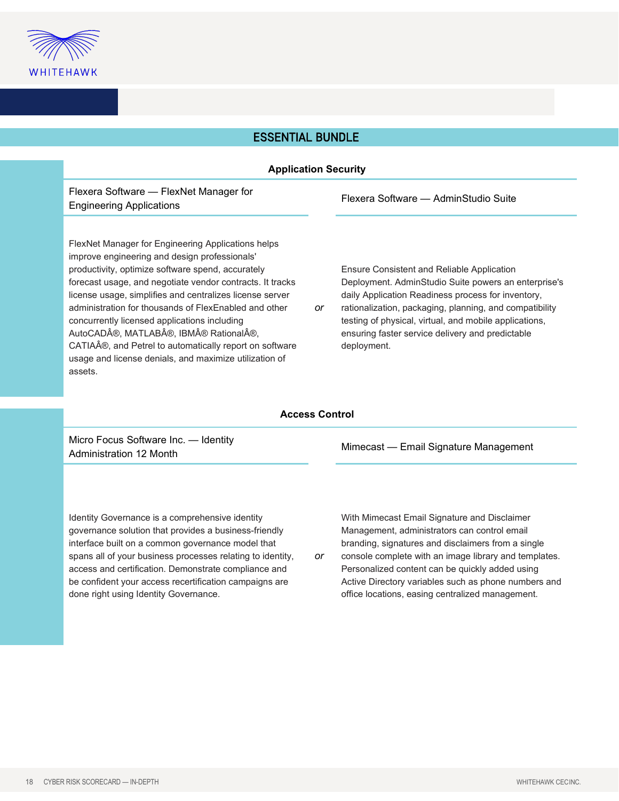

#### ESSENTIAL BUNDLE

| <b>Application Security</b>                                                                                                                                                                                                                                                                                                                                                                                                                                                                                                                                     |           |                                                                                                                                                                                                                                                                                                                                                  |  |  |  |
|-----------------------------------------------------------------------------------------------------------------------------------------------------------------------------------------------------------------------------------------------------------------------------------------------------------------------------------------------------------------------------------------------------------------------------------------------------------------------------------------------------------------------------------------------------------------|-----------|--------------------------------------------------------------------------------------------------------------------------------------------------------------------------------------------------------------------------------------------------------------------------------------------------------------------------------------------------|--|--|--|
| Flexera Software - FlexNet Manager for<br><b>Engineering Applications</b>                                                                                                                                                                                                                                                                                                                                                                                                                                                                                       |           | Flexera Software — AdminStudio Suite                                                                                                                                                                                                                                                                                                             |  |  |  |
| FlexNet Manager for Engineering Applications helps<br>improve engineering and design professionals'<br>productivity, optimize software spend, accurately<br>forecast usage, and negotiate vendor contracts. It tracks<br>license usage, simplifies and centralizes license server<br>administration for thousands of FlexEnabled and other<br>concurrently licensed applications including<br>AutoCAD®, MATLAB®, IBM® Rational®,<br>CATIA®, and Petrel to automatically report on software<br>usage and license denials, and maximize utilization of<br>assets. | <b>or</b> | Ensure Consistent and Reliable Application<br>Deployment. AdminStudio Suite powers an enterprise's<br>daily Application Readiness process for inventory,<br>rationalization, packaging, planning, and compatibility<br>testing of physical, virtual, and mobile applications,<br>ensuring faster service delivery and predictable<br>deployment. |  |  |  |
| <b>Access Control</b>                                                                                                                                                                                                                                                                                                                                                                                                                                                                                                                                           |           |                                                                                                                                                                                                                                                                                                                                                  |  |  |  |
| Micro Focus Software Inc — Identity                                                                                                                                                                                                                                                                                                                                                                                                                                                                                                                             |           |                                                                                                                                                                                                                                                                                                                                                  |  |  |  |

› Focus Software Inc. — Identity Micro Poddo Schward III. Rechtley Mimecast — Email Signature Management<br>Administration 12 Month

Identity Governance is a comprehensive identity governance solution that provides a business-friendly interface built on a common governance model that spans all of your business processes relating to identity, access and certification. Demonstrate compliance and be confident your access recertification campaigns are done right using Identity Governance.

With Mimecast Email Signature and Disclaimer Management, administrators can control email branding, signatures and disclaimers from a single

*or* console complete with an image library and templates. Personalized content can be quickly added using Active Directory variables such as phone numbers and office locations, easing centralized management.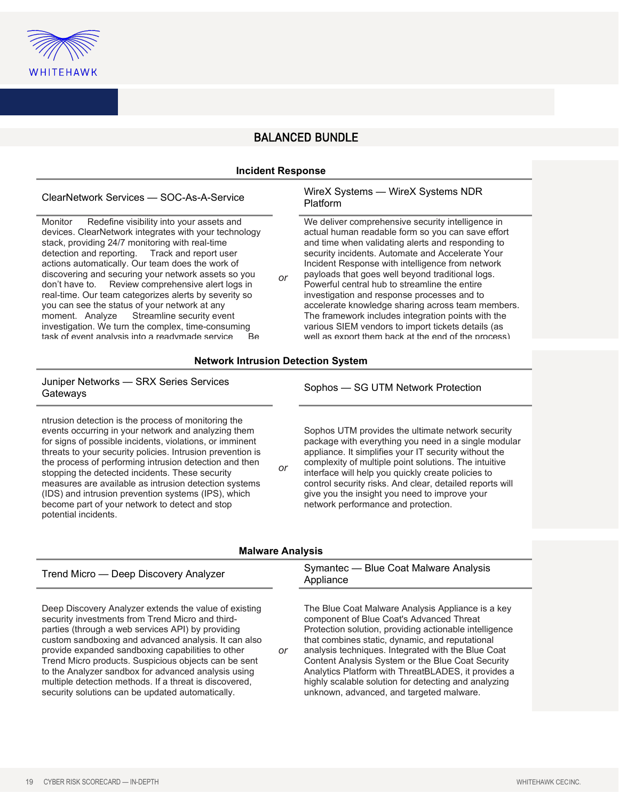

#### BALANCED BUNDLE

#### **Incident Response**

Monitor Redefine visibility into your assets and devices. ClearNetwork integrates with your technology stack, providing 24/7 monitoring with real-time detection and reporting. Track and report user actions automatically. Our team does the work of discovering and securing your network assets so you don't have to. Review comprehensive alert logs in real-time. Our team categorizes alerts by severity so you can see the status of your network at any<br>moment. Analyze Streamline security eve Streamline security event. investigation. We turn the complex, time-consuming task of event analysis into a readymade service

#### ClearNetwork Services — SOC-As-A-Service WireX Systems — WireX Systems NDR Platform

We deliver comprehensive security intelligence in actual human readable form so you can save effort and time when validating alerts and responding to security incidents. Automate and Accelerate Your Incident Response with intelligence from network payloads that goes well beyond traditional logs. Powerful central hub to streamline the entire investigation and response processes and to accelerate knowledge sharing across team members. The framework includes integration points with the various SIEM vendors to import tickets details (as well as export them back at the end of the process)

#### **Network Intrusion Detection System**

*or*

#### Juniper Networks — SRX Series Services Gateways CRA Cenes Cervices<br>Gateways Gateways

ntrusion detection is the process of monitoring the events occurring in your network and analyzing them for signs of possible incidents, violations, or imminent threats to your security policies. Intrusion prevention is the process of performing intrusion detection and then stopping the detected incidents. These security measures are available as intrusion detection systems (IDS) and intrusion prevention systems (IPS), which become part of your network to detect and stop potential incidents.

Sophos UTM provides the ultimate network security package with everything you need in a single modular appliance. It simplifies your IT security without the complexity of multiple point solutions. The intuitive interface will help you quickly create policies to control security risks. And clear, detailed reports will give you the insight you need to improve your network performance and protection.

#### **Malware Analysis**

*or*

*or*

Deep Discovery Analyzer extends the value of existing security investments from Trend Micro and thirdparties (through a web services API) by providing custom sandboxing and advanced analysis. It can also provide expanded sandboxing capabilities to other Trend Micro products. Suspicious objects can be sent to the Analyzer sandbox for advanced analysis using multiple detection methods. If a threat is discovered, security solutions can be updated automatically.

#### Trend Micro — Deep Discovery Analyzer Symantec — Blue Coat Malware Analysis Appliance

The Blue Coat Malware Analysis Appliance is a key component of Blue Coat's Advanced Threat Protection solution, providing actionable intelligence that combines static, dynamic, and reputational analysis techniques. Integrated with the Blue Coat Content Analysis System or the Blue Coat Security Analytics Platform with ThreatBLADES, it provides a highly scalable solution for detecting and analyzing unknown, advanced, and targeted malware.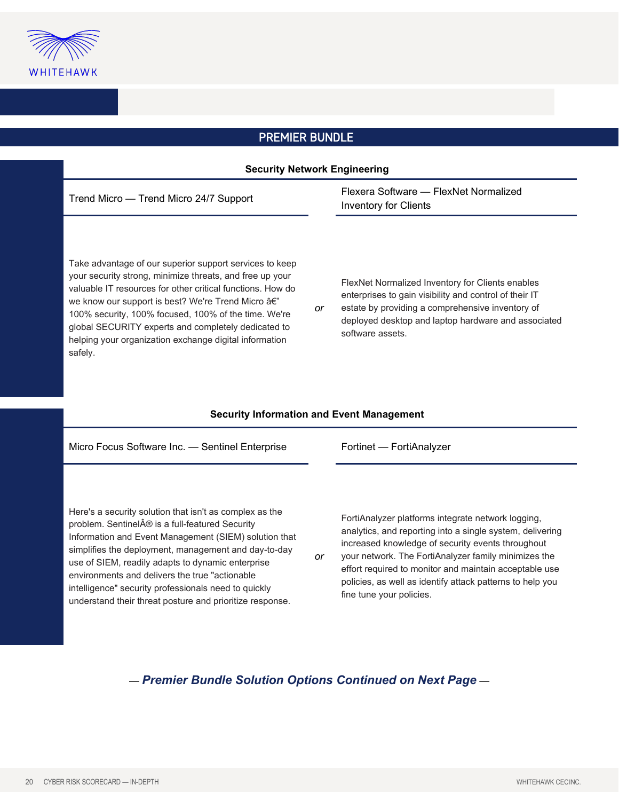

### PREMIER BUNDLE

| <b>Security Network Engineering</b>                                                                                                                                                                                                                                                                                                                                                                                                                                             |    |                                                                                                                                                                                                                                           |  |  |  |
|---------------------------------------------------------------------------------------------------------------------------------------------------------------------------------------------------------------------------------------------------------------------------------------------------------------------------------------------------------------------------------------------------------------------------------------------------------------------------------|----|-------------------------------------------------------------------------------------------------------------------------------------------------------------------------------------------------------------------------------------------|--|--|--|
| Trend Micro - Trend Micro 24/7 Support                                                                                                                                                                                                                                                                                                                                                                                                                                          |    | Flexera Software - FlexNet Normalized<br><b>Inventory for Clients</b>                                                                                                                                                                     |  |  |  |
| Take advantage of our superior support services to keep<br>your security strong, minimize threats, and free up your<br>valuable IT resources for other critical functions. How do<br>we know our support is best? We're Trend Micro â€"<br>100% security, 100% focused, 100% of the time. We're<br>global SECURITY experts and completely dedicated to<br>helping your organization exchange digital information<br>safely.<br><b>Security Information and Event Management</b> | or | FlexNet Normalized Inventory for Clients enables<br>enterprises to gain visibility and control of their IT<br>estate by providing a comprehensive inventory of<br>deployed desktop and laptop hardware and associated<br>software assets. |  |  |  |
|                                                                                                                                                                                                                                                                                                                                                                                                                                                                                 |    |                                                                                                                                                                                                                                           |  |  |  |
| Micro Focus Software Inc. - Sentinel Enterprise                                                                                                                                                                                                                                                                                                                                                                                                                                 |    | Fortinet - FortiAnalyzer                                                                                                                                                                                                                  |  |  |  |
| Here's a security solution that isn't as complex as the<br>problem. Sentinel® is a full-featured Security                                                                                                                                                                                                                                                                                                                                                                       |    | FortiAnalyzer platforms integrate network logging,                                                                                                                                                                                        |  |  |  |

*or*

Information and Event Management (SIEM) solution that simplifies the deployment, management and day-to-day use of SIEM, readily adapts to dynamic enterprise environments and delivers the true "actionable intelligence" security professionals need to quickly understand their threat posture and prioritize response.

analytics, and reporting into a single system, delivering increased knowledge of security events throughout

your network. The FortiAnalyzer family minimizes the effort required to monitor and maintain acceptable use policies, as well as identify attack patterns to help you fine tune your policies.

#### — *Premier Bundle Solution Options Continued on Next Page* —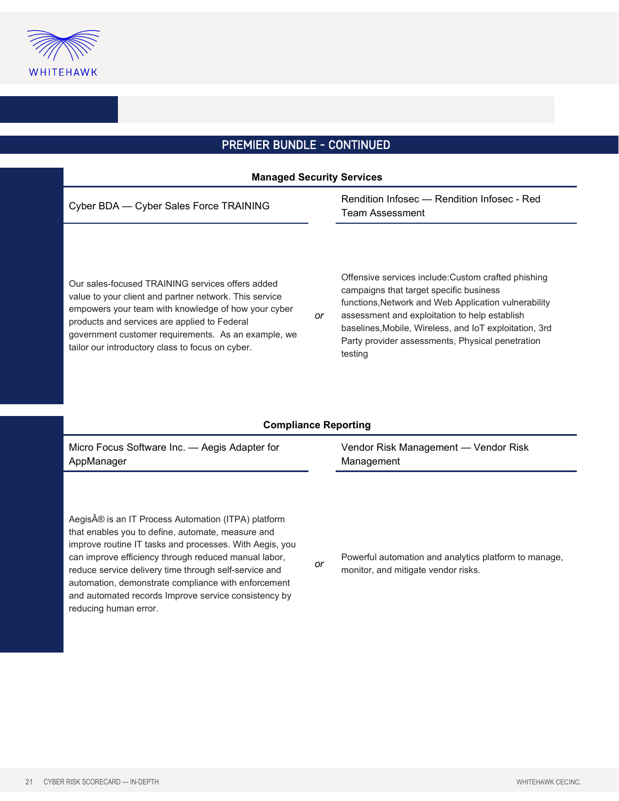

### PREMIER BUNDLE - CONTINUED

| <b>Managed Security Services</b>                                                                                                                                                                                                                                                                                                                                                                                            |    |                                                                                                                                                                                                                                                                                                                                  |  |  |  |  |
|-----------------------------------------------------------------------------------------------------------------------------------------------------------------------------------------------------------------------------------------------------------------------------------------------------------------------------------------------------------------------------------------------------------------------------|----|----------------------------------------------------------------------------------------------------------------------------------------------------------------------------------------------------------------------------------------------------------------------------------------------------------------------------------|--|--|--|--|
| Cyber BDA - Cyber Sales Force TRAINING                                                                                                                                                                                                                                                                                                                                                                                      |    | Rendition Infosec - Rendition Infosec - Red<br><b>Team Assessment</b>                                                                                                                                                                                                                                                            |  |  |  |  |
| Our sales-focused TRAINING services offers added<br>value to your client and partner network. This service<br>empowers your team with knowledge of how your cyber<br>products and services are applied to Federal<br>government customer requirements. As an example, we<br>tailor our introductory class to focus on cyber.                                                                                                | or | Offensive services include: Custom crafted phishing<br>campaigns that target specific business<br>functions, Network and Web Application vulnerability<br>assessment and exploitation to help establish<br>baselines, Mobile, Wireless, and IoT exploitation, 3rd<br>Party provider assessments, Physical penetration<br>testing |  |  |  |  |
| <b>Compliance Reporting</b>                                                                                                                                                                                                                                                                                                                                                                                                 |    |                                                                                                                                                                                                                                                                                                                                  |  |  |  |  |
| Micro Focus Software Inc. - Aegis Adapter for<br>AppManager                                                                                                                                                                                                                                                                                                                                                                 |    | Vendor Risk Management - Vendor Risk<br>Management                                                                                                                                                                                                                                                                               |  |  |  |  |
| Aegis® is an IT Process Automation (ITPA) platform<br>that enables you to define, automate, measure and<br>improve routine IT tasks and processes. With Aegis, you<br>can improve efficiency through reduced manual labor,<br>reduce service delivery time through self-service and<br>automation, demonstrate compliance with enforcement<br>and automated records Improve service consistency by<br>reducing human error. | or | Powerful automation and analytics platform to manage,<br>monitor, and mitigate vendor risks.                                                                                                                                                                                                                                     |  |  |  |  |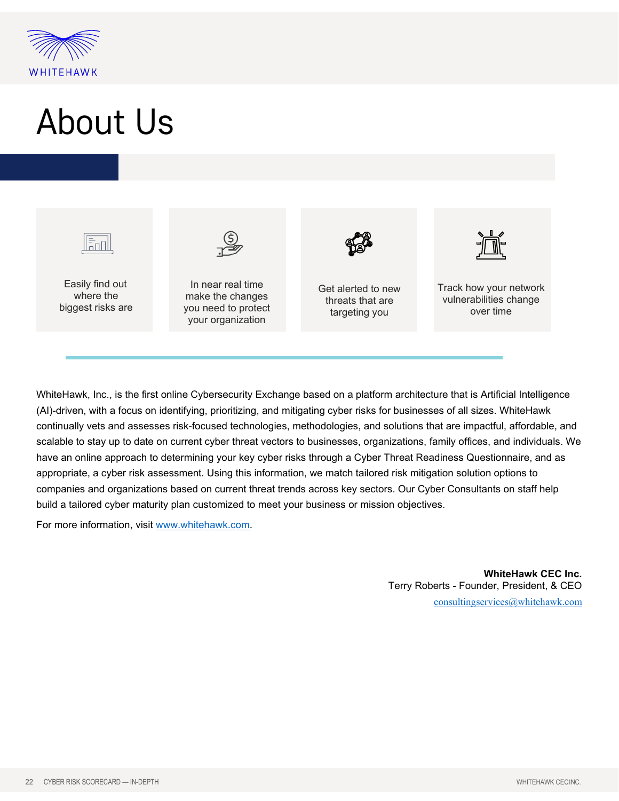

### About Us



WhiteHawk, Inc., is the first online Cybersecurity Exchange based on a platform architecture that is Artificial Intelligence (AI)-driven, with a focus on identifying, prioritizing, and mitigating cyber risks for businesses of all sizes. WhiteHawk continually vets and assesses risk-focused technologies, methodologies, and solutions that are impactful, affordable, and scalable to stay up to date on current cyber threat vectors to businesses, organizations, family offices, and individuals. We have an online approach to determining your key cyber risks through a Cyber Threat Readiness Questionnaire, and as appropriate, a cyber risk assessment. Using this information, we match tailored risk mitigation solution options to companies and organizations based on current threat trends across key sectors. Our Cyber Consultants on staff help build a tailored cyber maturity plan customized to meet your business or mission objectives.

For more information, visit [www.whitehawk.com.](http://www.whitehawk.com/)

**WhiteHawk CEC Inc.** Terry Roberts - Founder, President, & CEO [consultingservices@whitehawk.com](mailto:consultingservices@whitehawk.com)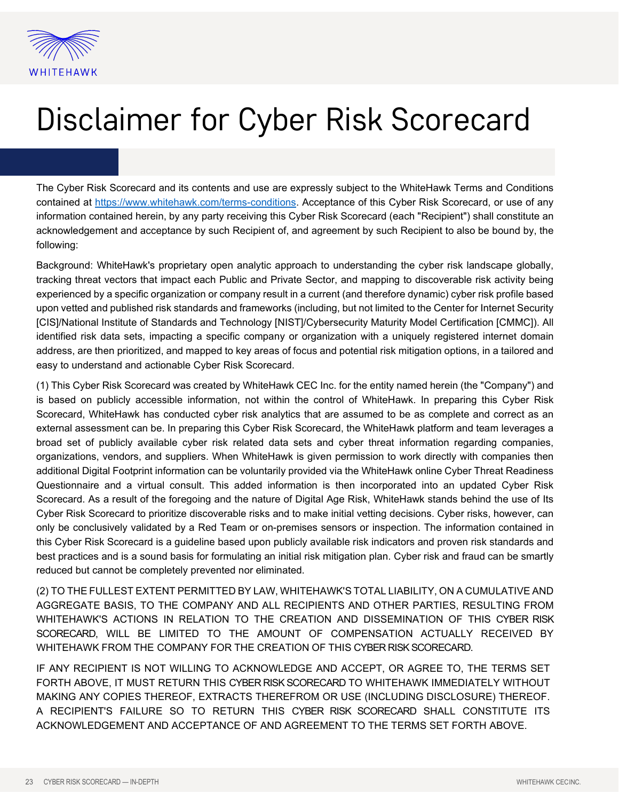

### Disclaimer for Cyber Risk Scorecard

The Cyber Risk Scorecard and its contents and use are expressly subject to the WhiteHawk Terms and Conditions contained at [https://www.whitehawk.com/terms-conditions.](https://www.whitehawk.com/terms-conditions) Acceptance of this Cyber Risk Scorecard, or use of any information contained herein, by any party receiving this Cyber Risk Scorecard (each "Recipient") shall constitute an acknowledgement and acceptance by such Recipient of, and agreement by such Recipient to also be bound by, the following:

Background: WhiteHawk's proprietary open analytic approach to understanding the cyber risk landscape globally, tracking threat vectors that impact each Public and Private Sector, and mapping to discoverable risk activity being experienced by a specific organization or company result in a current (and therefore dynamic) cyber risk profile based upon vetted and published risk standards and frameworks (including, but not limited to the Center for Internet Security [CIS]/National Institute of Standards and Technology [NIST]/Cybersecurity Maturity Model Certification [CMMC]). All identified risk data sets, impacting a specific company or organization with a uniquely registered internet domain address, are then prioritized, and mapped to key areas of focus and potential risk mitigation options, in a tailored and easy to understand and actionable Cyber Risk Scorecard.

(1) This Cyber Risk Scorecard was created by WhiteHawk CEC Inc. for the entity named herein (the "Company") and is based on publicly accessible information, not within the control of WhiteHawk. In preparing this Cyber Risk Scorecard, WhiteHawk has conducted cyber risk analytics that are assumed to be as complete and correct as an external assessment can be. In preparing this Cyber Risk Scorecard, the WhiteHawk platform and team leverages a broad set of publicly available cyber risk related data sets and cyber threat information regarding companies, organizations, vendors, and suppliers. When WhiteHawk is given permission to work directly with companies then additional Digital Footprint information can be voluntarily provided via the WhiteHawk online Cyber Threat Readiness Questionnaire and a virtual consult. This added information is then incorporated into an updated Cyber Risk Scorecard. As a result of the foregoing and the nature of Digital Age Risk, WhiteHawk stands behind the use of Its Cyber Risk Scorecard to prioritize discoverable risks and to make initial vetting decisions. Cyber risks, however, can only be conclusively validated by a Red Team or on-premises sensors or inspection. The information contained in this Cyber Risk Scorecard is a guideline based upon publicly available risk indicators and proven risk standards and best practices and is a sound basis for formulating an initial risk mitigation plan. Cyber risk and fraud can be smartly reduced but cannot be completely prevented nor eliminated.

(2) TO THE FULLEST EXTENT PERMITTED BY LAW, WHITEHAWK'S TOTAL LIABILITY, ON A CUMULATIVE AND AGGREGATE BASIS, TO THE COMPANY AND ALL RECIPIENTS AND OTHER PARTIES, RESULTING FROM WHITEHAWK'S ACTIONS IN RELATION TO THE CREATION AND DISSEMINATION OF THIS CYBER RISK SCORECARD, WILL BE LIMITED TO THE AMOUNT OF COMPENSATION ACTUALLY RECEIVED BY WHITEHAWK FROM THE COMPANY FOR THE CREATION OF THIS CYBER RISK SCORECARD.

IF ANY RECIPIENT IS NOT WILLING TO ACKNOWLEDGE AND ACCEPT, OR AGREE TO, THE TERMS SET FORTH ABOVE, IT MUST RETURN THIS CYBER RISK SCORECARD TO WHITEHAWK IMMEDIATELY WITHOUT MAKING ANY COPIES THEREOF, EXTRACTS THEREFROM OR USE (INCLUDING DISCLOSURE) THEREOF. A RECIPIENT'S FAILURE SO TO RETURN THIS CYBER RISK SCORECARD SHALL CONSTITUTE ITS ACKNOWLEDGEMENT AND ACCEPTANCE OF AND AGREEMENT TO THE TERMS SET FORTH ABOVE.